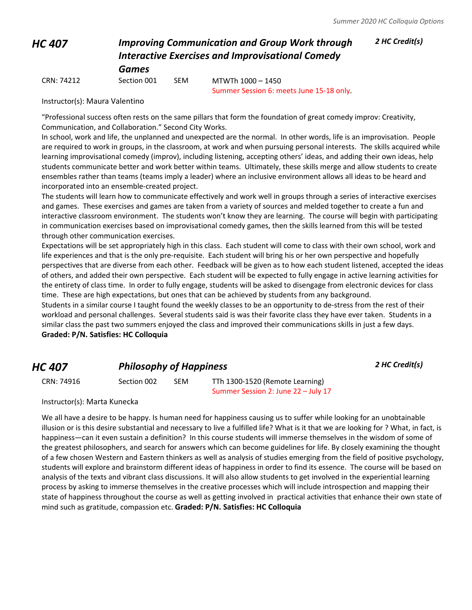# *HC 407 Improving Communication and Group Work through Interactive Exercises and Improvisational Comedy Games*

*2 HC Credit(s)*

CRN: 74212 Section 001 SEM MTWTh 1000 – 1450

Summer Session 6: meets June 15-18 only.

Instructor(s): Maura Valentino

"Professional success often rests on the same pillars that form the foundation of great comedy improv: Creativity, Communication, and Collaboration." Second City Works.

In school, work and life, the unplanned and unexpected are the normal. In other words, life is an improvisation. People are required to work in groups, in the classroom, at work and when pursuing personal interests. The skills acquired while learning improvisational comedy (improv), including listening, accepting others' ideas, and adding their own ideas, help students communicate better and work better within teams. Ultimately, these skills merge and allow students to create ensembles rather than teams (teams imply a leader) where an inclusive environment allows all ideas to be heard and incorporated into an ensemble-created project.

The students will learn how to communicate effectively and work well in groups through a series of interactive exercises and games. These exercises and games are taken from a variety of sources and melded together to create a fun and interactive classroom environment. The students won't know they are learning. The course will begin with participating in communication exercises based on improvisational comedy games, then the skills learned from this will be tested through other communication exercises.

Expectations will be set appropriately high in this class. Each student will come to class with their own school, work and life experiences and that is the only pre-requisite. Each student will bring his or her own perspective and hopefully perspectives that are diverse from each other. Feedback will be given as to how each student listened, accepted the ideas of others, and added their own perspective. Each student will be expected to fully engage in active learning activities for the entirety of class time. In order to fully engage, students will be asked to disengage from electronic devices for class time. These are high expectations, but ones that can be achieved by students from any background.

Students in a similar course I taught found the weekly classes to be an opportunity to de-stress from the rest of their workload and personal challenges. Several students said is was their favorite class they have ever taken. Students in a similar class the past two summers enjoyed the class and improved their communications skills in just a few days. **Graded: P/N. Satisfies: HC Colloquia**

# *HC 407 Philosophy of Happiness 2 HC Credit(s)*

CRN: 74916 Section 002 SEM TTh 1300-1520 (Remote Learning) Summer Session 2: June 22 – July 17

Instructor(s): Marta Kunecka

We all have a desire to be happy. Is human need for happiness causing us to suffer while looking for an unobtainable illusion or is this desire substantial and necessary to live a fulfilled life? What is it that we are looking for ? What, in fact, is happiness—can it even sustain a definition? In this course students will immerse themselves in the wisdom of some of the greatest philosophers, and search for answers which can become guidelines for life. By closely examining the thought of a few chosen Western and Eastern thinkers as well as analysis of studies emerging from the field of positive psychology, students will explore and brainstorm different ideas of happiness in order to find its essence. The course will be based on analysis of the texts and vibrant class discussions. It will also allow students to get involved in the experiential learning process by asking to immerse themselves in the creative processes which will include introspection and mapping their state of happiness throughout the course as well as getting involved in practical activities that enhance their own state of mind such as gratitude, compassion etc. **Graded: P/N. Satisfies: HC Colloquia**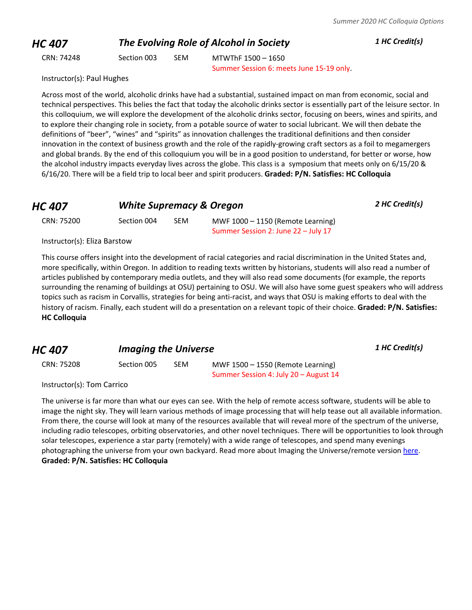*HC 407 The Evolving Role of Alcohol in Society 1 HC Credit(s)*

CRN: 74248 Section 003 SEM MTWThF 1500 – 1650 Summer Session 6: meets June 15-19 only.

Instructor(s): Paul Hughes

Across most of the world, alcoholic drinks have had a substantial, sustained impact on man from economic, social and technical perspectives. This belies the fact that today the alcoholic drinks sector is essentially part of the leisure sector. In this colloquium, we will explore the development of the alcoholic drinks sector, focusing on beers, wines and spirits, and to explore their changing role in society, from a potable source of water to social lubricant. We will then debate the definitions of "beer", "wines" and "spirits" as innovation challenges the traditional definitions and then consider innovation in the context of business growth and the role of the rapidly-growing craft sectors as a foil to megamergers and global brands. By the end of this colloquium you will be in a good position to understand, for better or worse, how the alcohol industry impacts everyday lives across the globe. This class is a symposium that meets only on 6/15/20 & 6/16/20. There will be a field trip to local beer and spirit producers. **Graded: P/N. Satisfies: HC Colloquia**

| <b>HC 407</b> | <b>White Supremacy &amp; Oregon</b> |     |                                     | 2 HC Credit(s) |
|---------------|-------------------------------------|-----|-------------------------------------|----------------|
| CRN: 75200    | Section 004                         | SEM | MWF $1000 - 1150$ (Remote Learning) |                |
|               |                                     |     | Summer Session 2: June 22 – July 17 |                |

Instructor(s): Eliza Barstow

This course offers insight into the development of racial categories and racial discrimination in the United States and, more specifically, within Oregon. In addition to reading texts written by historians, students will also read a number of articles published by contemporary media outlets, and they will also read some documents (for example, the reports surrounding the renaming of buildings at OSU) pertaining to OSU. We will also have some guest speakers who will address topics such as racism in Corvallis, strategies for being anti-racist, and ways that OSU is making efforts to deal with the history of racism. Finally, each student will do a presentation on a relevant topic of their choice. **Graded: P/N. Satisfies: HC Colloquia**

*HC 407 Imaging the Universe <sup>1</sup> HC Credit(s)*

CRN: 75208 Section 005 SEM MWF 1500 – 1550 (Remote Learning) Summer Session 4: July 20 – August 14

Instructor(s): Tom Carrico

The universe is far more than what our eyes can see. With the help of remote access software, students will be able to image the night sky. They will learn various methods of image processing that will help tease out all available information. From there, the course will look at many of the resources available that will reveal more of the spectrum of the universe, including radio telescopes, orbiting observatories, and other novel techniques. There will be opportunities to look through solar telescopes, experience a star party (remotely) with a wide range of telescopes, and spend many evenings photographing the universe from your own backyard. Read more about Imaging the Universe/remote version [here.](http://blogs.oregonstate.edu/honorslink/2020/04/24/imaging-the-universe-a-new-perspective/) **Graded: P/N. Satisfies: HC Colloquia**